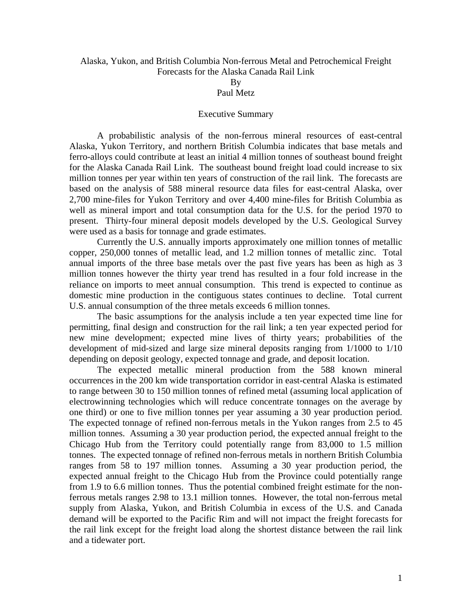## Alaska, Yukon, and British Columbia Non-ferrous Metal and Petrochemical Freight Forecasts for the Alaska Canada Rail Link

By

## Paul Metz

## Executive Summary

 A probabilistic analysis of the non-ferrous mineral resources of east-central Alaska, Yukon Territory, and northern British Columbia indicates that base metals and ferro-alloys could contribute at least an initial 4 million tonnes of southeast bound freight for the Alaska Canada Rail Link. The southeast bound freight load could increase to six million tonnes per year within ten years of construction of the rail link. The forecasts are based on the analysis of 588 mineral resource data files for east-central Alaska, over 2,700 mine-files for Yukon Territory and over 4,400 mine-files for British Columbia as well as mineral import and total consumption data for the U.S. for the period 1970 to present. Thirty-four mineral deposit models developed by the U.S. Geological Survey were used as a basis for tonnage and grade estimates.

 Currently the U.S. annually imports approximately one million tonnes of metallic copper, 250,000 tonnes of metallic lead, and 1.2 million tonnes of metallic zinc. Total annual imports of the three base metals over the past five years has been as high as 3 million tonnes however the thirty year trend has resulted in a four fold increase in the reliance on imports to meet annual consumption. This trend is expected to continue as domestic mine production in the contiguous states continues to decline. Total current U.S. annual consumption of the three metals exceeds 6 million tonnes.

The basic assumptions for the analysis include a ten year expected time line for permitting, final design and construction for the rail link; a ten year expected period for new mine development; expected mine lives of thirty years; probabilities of the development of mid-sized and large size mineral deposits ranging from 1/1000 to 1/10 depending on deposit geology, expected tonnage and grade, and deposit location.

The expected metallic mineral production from the 588 known mineral occurrences in the 200 km wide transportation corridor in east-central Alaska is estimated to range between 30 to 150 million tonnes of refined metal (assuming local application of electrowinning technologies which will reduce concentrate tonnages on the average by one third) or one to five million tonnes per year assuming a 30 year production period. The expected tonnage of refined non-ferrous metals in the Yukon ranges from 2.5 to 45 million tonnes. Assuming a 30 year production period, the expected annual freight to the Chicago Hub from the Territory could potentially range from 83,000 to 1.5 million tonnes. The expected tonnage of refined non-ferrous metals in northern British Columbia ranges from 58 to 197 million tonnes. Assuming a 30 year production period, the expected annual freight to the Chicago Hub from the Province could potentially range from 1.9 to 6.6 million tonnes. Thus the potential combined freight estimate for the nonferrous metals ranges 2.98 to 13.1 million tonnes. However, the total non-ferrous metal supply from Alaska, Yukon, and British Columbia in excess of the U.S. and Canada demand will be exported to the Pacific Rim and will not impact the freight forecasts for the rail link except for the freight load along the shortest distance between the rail link and a tidewater port.